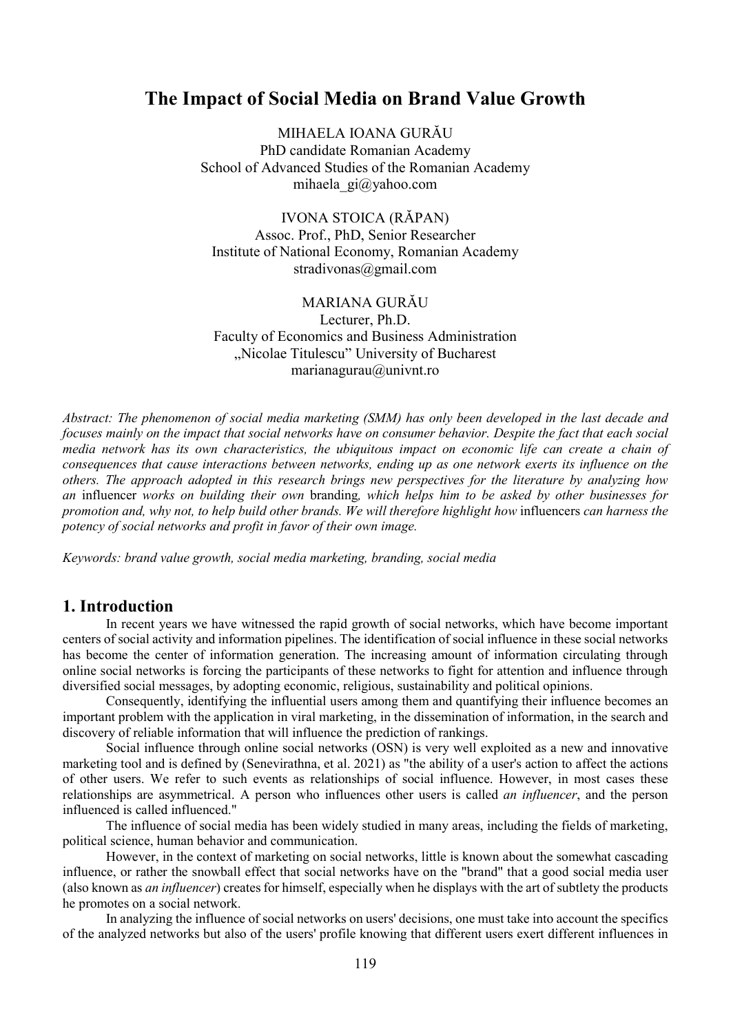# The Impact of Social Media on Brand Value Growth

MIHAELA IOANA GURĂU PhD candidate Romanian Academy School of Advanced Studies of the Romanian Academy mihaela\_gi@yahoo.com

IVONA STOICA (RĂPAN) Assoc. Prof., PhD, Senior Researcher Institute of National Economy, Romanian Academy stradivonas@gmail.com

MARIANA GURĂU Lecturer, Ph.D. Faculty of Economics and Business Administration "Nicolae Titulescu" University of Bucharest marianagurau@univnt.ro

Abstract: The phenomenon of social media marketing (SMM) has only been developed in the last decade and focuses mainly on the impact that social networks have on consumer behavior. Despite the fact that each social media network has its own characteristics, the ubiquitous impact on economic life can create a chain of consequences that cause interactions between networks, ending up as one network exerts its influence on the others. The approach adopted in this research brings new perspectives for the literature by analyzing how an influencer works on building their own branding, which helps him to be asked by other businesses for promotion and, why not, to help build other brands. We will therefore highlight how influencers can harness the potency of social networks and profit in favor of their own image.

Keywords: brand value growth, social media marketing, branding, social media

### 1. Introduction

In recent years we have witnessed the rapid growth of social networks, which have become important centers of social activity and information pipelines. The identification of social influence in these social networks has become the center of information generation. The increasing amount of information circulating through online social networks is forcing the participants of these networks to fight for attention and influence through diversified social messages, by adopting economic, religious, sustainability and political opinions.

Consequently, identifying the influential users among them and quantifying their influence becomes an important problem with the application in viral marketing, in the dissemination of information, in the search and discovery of reliable information that will influence the prediction of rankings.

Social influence through online social networks (OSN) is very well exploited as a new and innovative marketing tool and is defined by (Senevirathna, et al. 2021) as "the ability of a user's action to affect the actions of other users. We refer to such events as relationships of social influence. However, in most cases these relationships are asymmetrical. A person who influences other users is called *an influencer*, and the person influenced is called influenced."

The influence of social media has been widely studied in many areas, including the fields of marketing, political science, human behavior and communication.

However, in the context of marketing on social networks, little is known about the somewhat cascading influence, or rather the snowball effect that social networks have on the "brand" that a good social media user (also known as *an influencer*) creates for himself, especially when he displays with the art of subtlety the products he promotes on a social network.

In analyzing the influence of social networks on users' decisions, one must take into account the specifics of the analyzed networks but also of the users' profile knowing that different users exert different influences in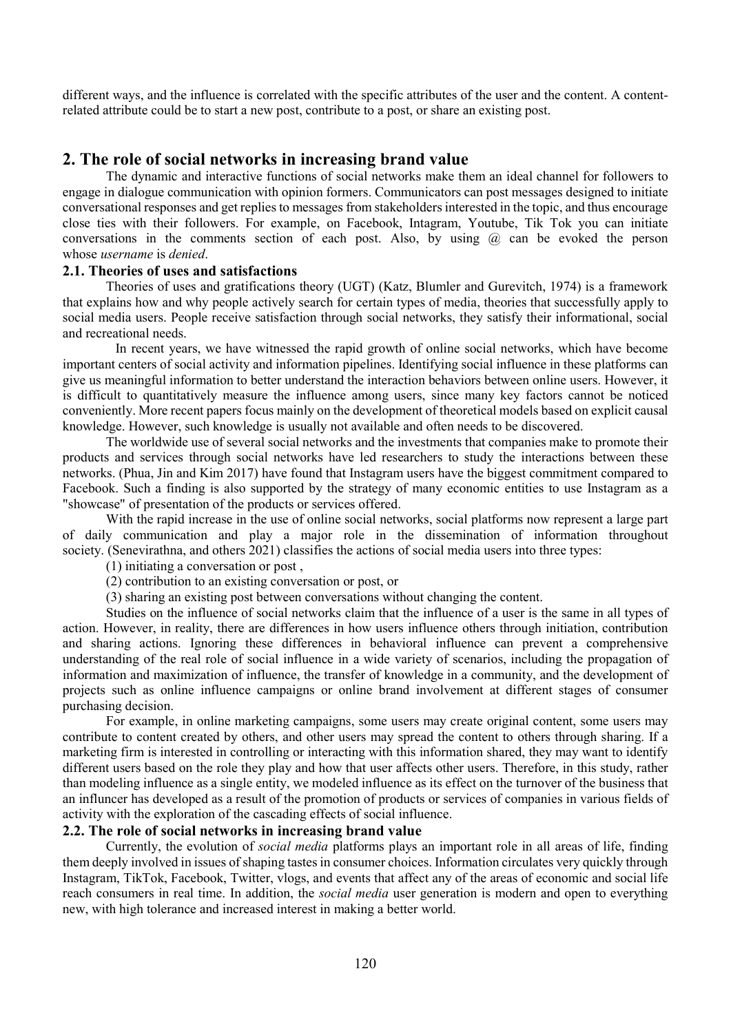different ways, and the influence is correlated with the specific attributes of the user and the content. A contentrelated attribute could be to start a new post, contribute to a post, or share an existing post.

## 2. The role of social networks in increasing brand value

The dynamic and interactive functions of social networks make them an ideal channel for followers to engage in dialogue communication with opinion formers. Communicators can post messages designed to initiate conversational responses and get replies to messages from stakeholders interested in the topic, and thus encourage close ties with their followers. For example, on Facebook, Intagram, Youtube, Tik Tok you can initiate conversations in the comments section of each post. Also, by using  $\omega$  can be evoked the person whose username is denied.

#### 2.1. Theories of uses and satisfactions

Theories of uses and gratifications theory (UGT) (Katz, Blumler and Gurevitch, 1974) is a framework that explains how and why people actively search for certain types of media, theories that successfully apply to social media users. People receive satisfaction through social networks, they satisfy their informational, social and recreational needs.

 In recent years, we have witnessed the rapid growth of online social networks, which have become important centers of social activity and information pipelines. Identifying social influence in these platforms can give us meaningful information to better understand the interaction behaviors between online users. However, it is difficult to quantitatively measure the influence among users, since many key factors cannot be noticed conveniently. More recent papers focus mainly on the development of theoretical models based on explicit causal knowledge. However, such knowledge is usually not available and often needs to be discovered.

The worldwide use of several social networks and the investments that companies make to promote their products and services through social networks have led researchers to study the interactions between these networks. (Phua, Jin and Kim 2017) have found that Instagram users have the biggest commitment compared to Facebook. Such a finding is also supported by the strategy of many economic entities to use Instagram as a "showcase" of presentation of the products or services offered.

With the rapid increase in the use of online social networks, social platforms now represent a large part of daily communication and play a major role in the dissemination of information throughout society. (Senevirathna, and others 2021) classifies the actions of social media users into three types:

(1) initiating a conversation or post ,

(2) contribution to an existing conversation or post, or

(3) sharing an existing post between conversations without changing the content.

Studies on the influence of social networks claim that the influence of a user is the same in all types of action. However, in reality, there are differences in how users influence others through initiation, contribution and sharing actions. Ignoring these differences in behavioral influence can prevent a comprehensive understanding of the real role of social influence in a wide variety of scenarios, including the propagation of information and maximization of influence, the transfer of knowledge in a community, and the development of projects such as online influence campaigns or online brand involvement at different stages of consumer purchasing decision.

For example, in online marketing campaigns, some users may create original content, some users may contribute to content created by others, and other users may spread the content to others through sharing. If a marketing firm is interested in controlling or interacting with this information shared, they may want to identify different users based on the role they play and how that user affects other users. Therefore, in this study, rather than modeling influence as a single entity, we modeled influence as its effect on the turnover of the business that an influncer has developed as a result of the promotion of products or services of companies in various fields of activity with the exploration of the cascading effects of social influence.

### 2.2. The role of social networks in increasing brand value

Currently, the evolution of social media platforms plays an important role in all areas of life, finding them deeply involved in issues of shaping tastes in consumer choices. Information circulates very quickly through Instagram, TikTok, Facebook, Twitter, vlogs, and events that affect any of the areas of economic and social life reach consumers in real time. In addition, the *social media* user generation is modern and open to everything new, with high tolerance and increased interest in making a better world.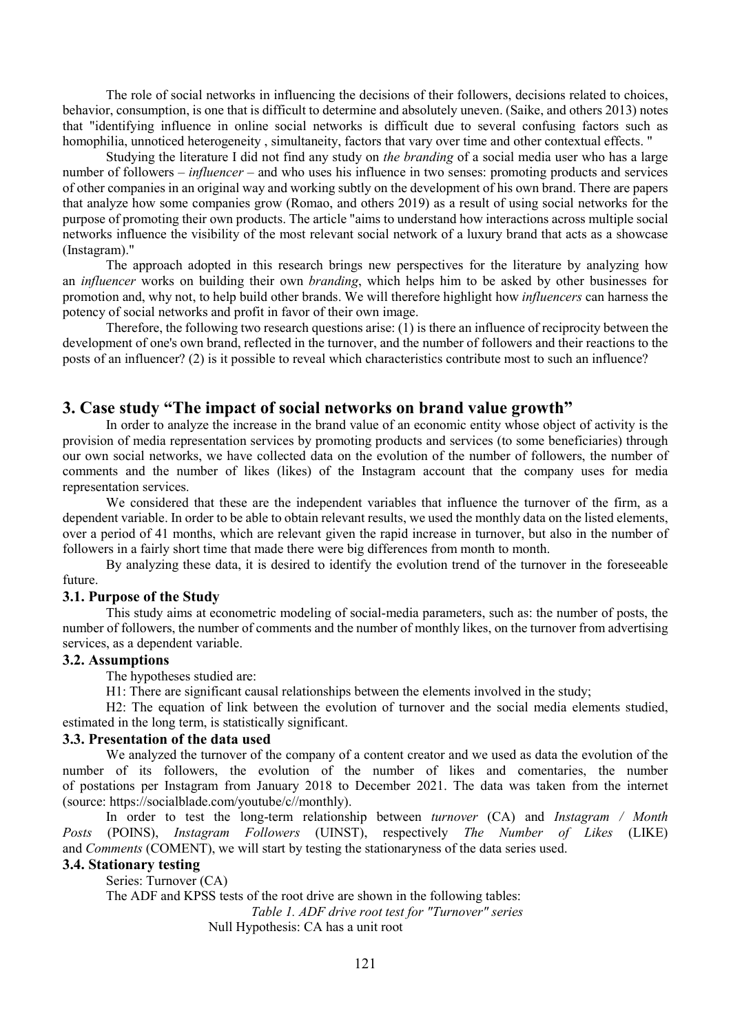The role of social networks in influencing the decisions of their followers, decisions related to choices, behavior, consumption, is one that is difficult to determine and absolutely uneven. (Saike, and others 2013) notes that "identifying influence in online social networks is difficult due to several confusing factors such as homophilia, unnoticed heterogeneity , simultaneity, factors that vary over time and other contextual effects. "

Studying the literature I did not find any study on the branding of a social media user who has a large number of followers – *influencer* – and who uses his influence in two senses: promoting products and services of other companies in an original way and working subtly on the development of his own brand. There are papers that analyze how some companies grow (Romao, and others 2019) as a result of using social networks for the purpose of promoting their own products. The article "aims to understand how interactions across multiple social networks influence the visibility of the most relevant social network of a luxury brand that acts as a showcase (Instagram)."

The approach adopted in this research brings new perspectives for the literature by analyzing how an influencer works on building their own branding, which helps him to be asked by other businesses for promotion and, why not, to help build other brands. We will therefore highlight how influencers can harness the potency of social networks and profit in favor of their own image.

Therefore, the following two research questions arise: (1) is there an influence of reciprocity between the development of one's own brand, reflected in the turnover, and the number of followers and their reactions to the posts of an influencer? (2) is it possible to reveal which characteristics contribute most to such an influence?

## 3. Case study "The impact of social networks on brand value growth"

In order to analyze the increase in the brand value of an economic entity whose object of activity is the provision of media representation services by promoting products and services (to some beneficiaries) through our own social networks, we have collected data on the evolution of the number of followers, the number of comments and the number of likes (likes) of the Instagram account that the company uses for media representation services.

We considered that these are the independent variables that influence the turnover of the firm, as a dependent variable. In order to be able to obtain relevant results, we used the monthly data on the listed elements, over a period of 41 months, which are relevant given the rapid increase in turnover, but also in the number of followers in a fairly short time that made there were big differences from month to month.

By analyzing these data, it is desired to identify the evolution trend of the turnover in the foreseeable future.

#### 3.1. Purpose of the Study

This study aims at econometric modeling of social-media parameters, such as: the number of posts, the number of followers, the number of comments and the number of monthly likes, on the turnover from advertising services, as a dependent variable.

#### 3.2. Assumptions

The hypotheses studied are:

H1: There are significant causal relationships between the elements involved in the study;

H2: The equation of link between the evolution of turnover and the social media elements studied, estimated in the long term, is statistically significant.

### 3.3. Presentation of the data used

We analyzed the turnover of the company of a content creator and we used as data the evolution of the number of its followers, the evolution of the number of likes and comentaries, the number of postations per Instagram from January 2018 to December 2021. The data was taken from the internet (source: https://socialblade.com/youtube/c//monthly).

In order to test the long-term relationship between turnover (CA) and Instagram / Month Posts (POINS), Instagram Followers (UINST), respectively The Number of Likes (LIKE) and Comments (COMENT), we will start by testing the stationaryness of the data series used.

## 3.4. Stationary testing

Series: Turnover (CA) The ADF and KPSS tests of the root drive are shown in the following tables: Table 1. ADF drive root test for "Turnover" series Null Hypothesis: CA has a unit root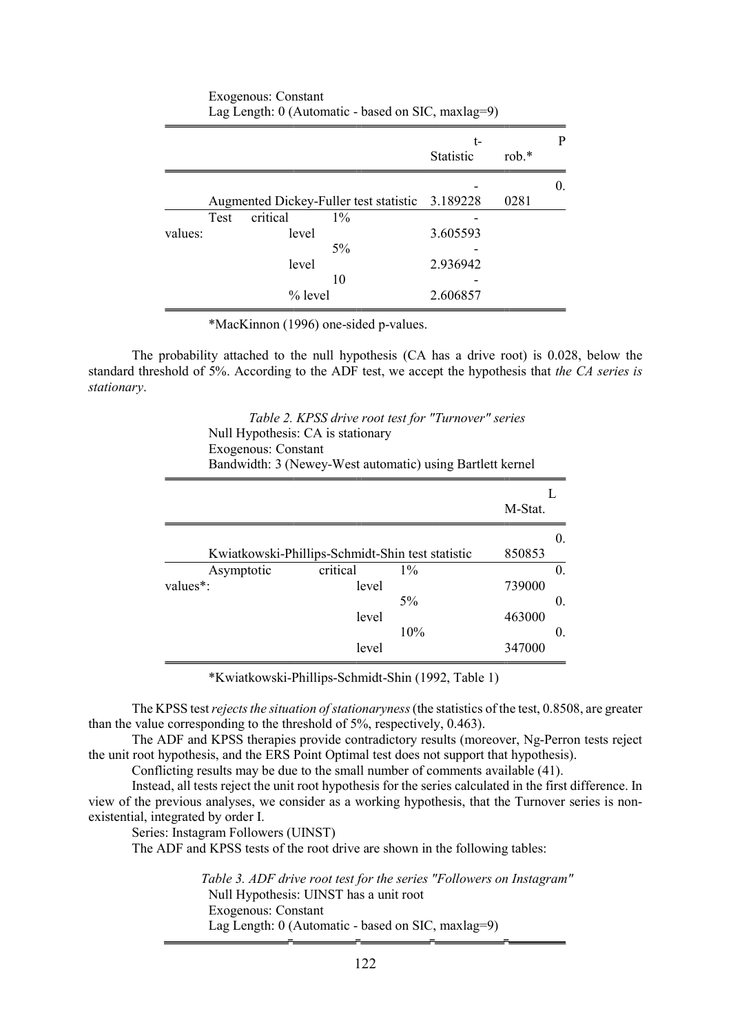|         |             |                                                 |  | t-               |         | P          |
|---------|-------------|-------------------------------------------------|--|------------------|---------|------------|
|         |             |                                                 |  | <b>Statistic</b> | $rob.*$ |            |
|         |             |                                                 |  |                  |         | $\theta$ . |
|         |             | Augmented Dickey-Fuller test statistic 3.189228 |  |                  | 0281    |            |
|         | <b>Test</b> | critical<br>$1\%$                               |  |                  |         |            |
| values: |             | level                                           |  | 3.605593         |         |            |
|         |             | $5\%$                                           |  |                  |         |            |
|         |             | level                                           |  | 2.936942         |         |            |
|         |             | 10                                              |  |                  |         |            |
|         |             | $%$ level                                       |  | 2.606857         |         |            |

Exogenous: Constant Lag Length:  $0$  (Automatic - based on SIC, maxlag=9)

The probability attached to the null hypothesis (CA has a drive root) is 0.028, below the standard threshold of 5%. According to the ADF test, we accept the hypothesis that the CA series is stationary.

> Table 2. KPSS drive root test for "Turnover" series Null Hypothesis: CA is stationary Exogenous: Constant Bandwidth: 3 (Newey-West automatic) using Bartlett kernel

|            |          |                                                  | M-Stat. |            |
|------------|----------|--------------------------------------------------|---------|------------|
|            |          | Kwiatkowski-Phillips-Schmidt-Shin test statistic | 850853  | 0.         |
| Asymptotic | critical | $1\%$                                            |         | 0.         |
| values*:   | level    |                                                  | 739000  |            |
|            |          | $5\%$                                            |         | $\theta$ . |
|            | level    |                                                  | 463000  |            |
|            |          | 10%                                              |         | 0.         |
|            | level    |                                                  | 347000  |            |

\*Kwiatkowski-Phillips-Schmidt-Shin (1992, Table 1)

The KPSS test rejects the situation of stationaryness (the statistics of the test, 0.8508, are greater than the value corresponding to the threshold of 5%, respectively, 0.463).

The ADF and KPSS therapies provide contradictory results (moreover, Ng-Perron tests reject the unit root hypothesis, and the ERS Point Optimal test does not support that hypothesis).

Conflicting results may be due to the small number of comments available (41).

Instead, all tests reject the unit root hypothesis for the series calculated in the first difference. In view of the previous analyses, we consider as a working hypothesis, that the Turnover series is nonexistential, integrated by order I.

Series: Instagram Followers (UINST)

The ADF and KPSS tests of the root drive are shown in the following tables:

Table 3. ADF drive root test for the series "Followers on Instagram" Null Hypothesis: UINST has a unit root Exogenous: Constant Lag Length: 0 (Automatic - based on SIC, maxlag=9)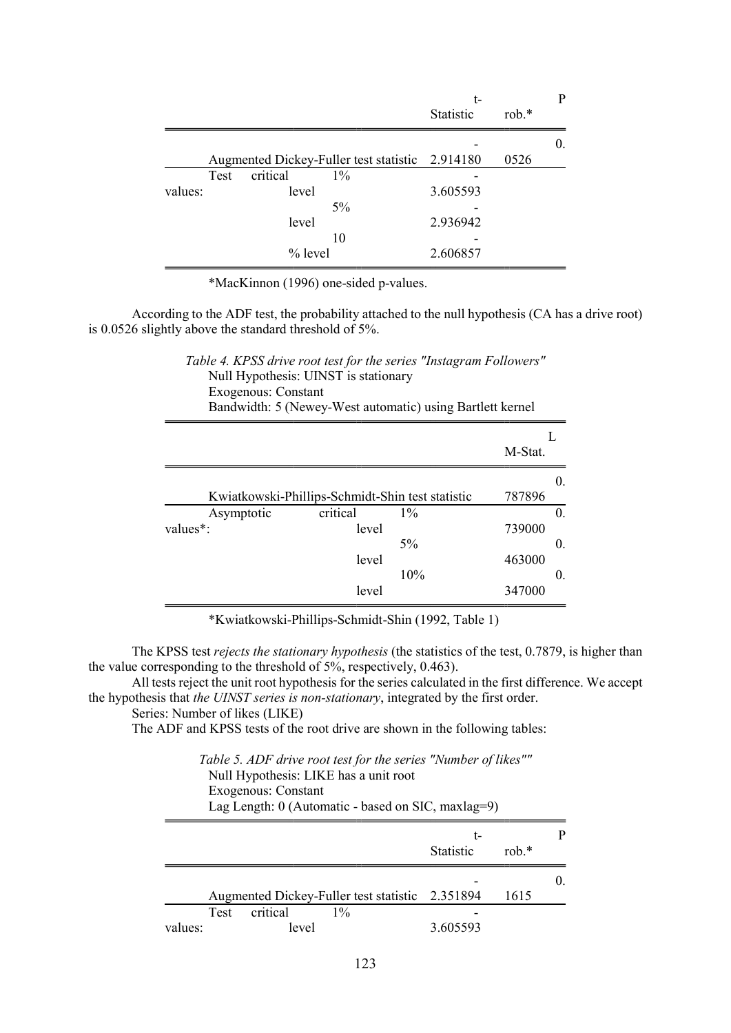|         |      |                                                 |       | t-               |         | P  |
|---------|------|-------------------------------------------------|-------|------------------|---------|----|
|         |      |                                                 |       | <b>Statistic</b> | $rob.*$ |    |
|         |      |                                                 |       |                  |         | 0. |
|         |      | Augmented Dickey-Fuller test statistic 2.914180 |       |                  | 0526    |    |
|         | Test | critical                                        | $1\%$ |                  |         |    |
| values: |      | level                                           |       | 3.605593         |         |    |
|         |      |                                                 | $5\%$ |                  |         |    |
|         |      | level                                           |       | 2.936942         |         |    |
|         |      |                                                 | 10    |                  |         |    |
|         |      | $%$ level                                       |       | 2.606857         |         |    |

According to the ADF test, the probability attached to the null hypothesis (CA has a drive root) is 0.0526 slightly above the standard threshold of 5%.

| Table 4. KPSS drive root test for the series "Instagram Followers" |  |
|--------------------------------------------------------------------|--|
| Null Hypothesis: UINST is stationary                               |  |
| Exogenous: Constant                                                |  |
|                                                                    |  |

Bandwidth: 5 (Newey-West automatic) using Bartlett kernel

|            |                                                  |       | M-Stat. |            |
|------------|--------------------------------------------------|-------|---------|------------|
|            |                                                  |       |         | 0.         |
|            | Kwiatkowski-Phillips-Schmidt-Shin test statistic |       | 787896  |            |
| Asymptotic | critical                                         | $1\%$ |         | 0.         |
| values*:   | level                                            |       | 739000  |            |
|            |                                                  | 5%    |         | 0.         |
|            | level                                            |       | 463000  |            |
|            |                                                  | 10%   |         | $\theta$ . |
|            | level                                            |       | 347000  |            |

\*Kwiatkowski-Phillips-Schmidt-Shin (1992, Table 1)

The KPSS test rejects the stationary hypothesis (the statistics of the test, 0.7879, is higher than the value corresponding to the threshold of  $5\%$ , respectively, 0.463).

All tests reject the unit root hypothesis for the series calculated in the first difference. We accept the hypothesis that the UINST series is non-stationary, integrated by the first order.

```
Series: Number of likes (LIKE)
```
The ADF and KPSS tests of the root drive are shown in the following tables:

| Table 5. ADF drive root test for the series "Number of likes"" |
|----------------------------------------------------------------|
| Null Hypothesis: LIKE has a unit root                          |
| Exogenous: Constant                                            |
| Lag Length: $0$ (Automatic - based on SIC, maxlag=9)           |

|                                                 | t-                           |      |  |
|-------------------------------------------------|------------------------------|------|--|
|                                                 | <b>Statistic</b><br>rob. $*$ |      |  |
|                                                 |                              |      |  |
| Augmented Dickey-Fuller test statistic 2.351894 |                              | 1615 |  |
| critical<br>$1\%$<br><b>Test</b>                |                              |      |  |
| values:<br>level                                | 3.605593                     |      |  |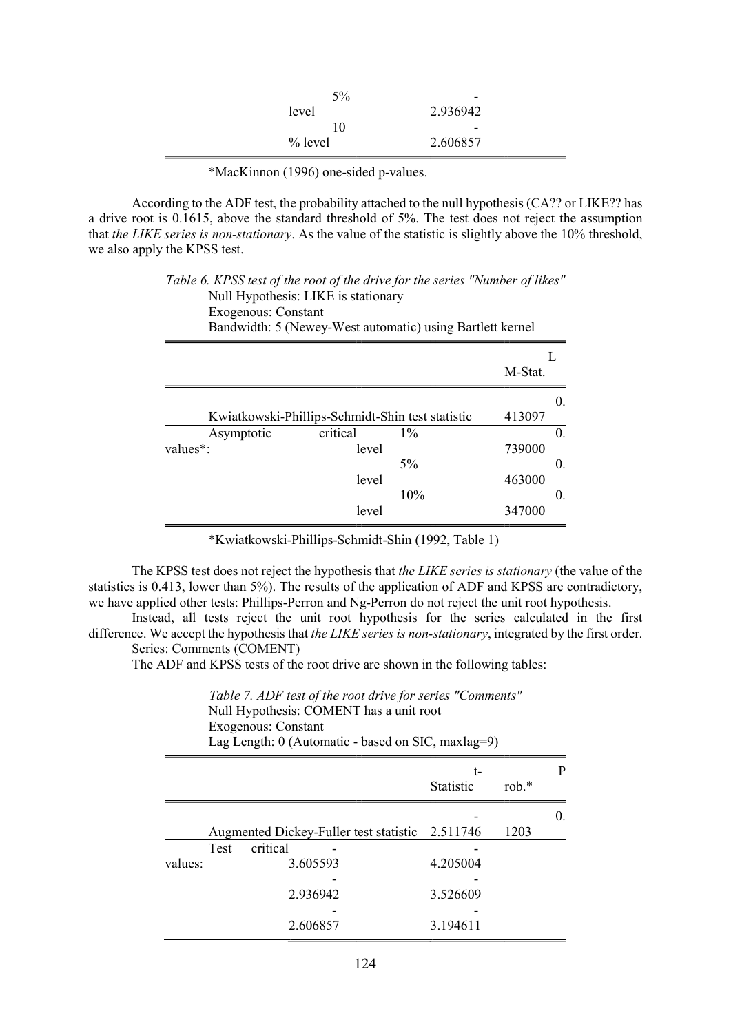| 5%<br>level<br>10 | $\overline{\phantom{0}}$<br>2.936942 |  |
|-------------------|--------------------------------------|--|
| $%$ level         | $\overline{\phantom{0}}$<br>2.606857 |  |

According to the ADF test, the probability attached to the null hypothesis (CA?? or LIKE?? has a drive root is 0.1615, above the standard threshold of 5%. The test does not reject the assumption that the LIKE series is non-stationary. As the value of the statistic is slightly above the 10% threshold, we also apply the KPSS test.

### Table 6. KPSS test of the root of the drive for the series "Number of likes" Null Hypothesis: LIKE is stationary

| Exogenous: Constant   | Bandwidth: 5 (Newey-West automatic) using Bartlett kernel |         |
|-----------------------|-----------------------------------------------------------|---------|
|                       |                                                           |         |
|                       |                                                           | M-Stat. |
|                       |                                                           | O.      |
|                       | Kwiatkowski-Phillips-Schmidt-Shin test statistic          | 413097  |
| Asymptotic            | critical<br>$1\%$                                         |         |
| values <sup>*</sup> : | level                                                     | 739000  |
|                       | 5%                                                        |         |

\*Kwiatkowski-Phillips-Schmidt-Shin (1992, Table 1)

level

level

10%

463000

347000

0.

The KPSS test does not reject the hypothesis that the LIKE series is stationary (the value of the statistics is 0.413, lower than 5%). The results of the application of ADF and KPSS are contradictory, we have applied other tests: Phillips-Perron and Ng-Perron do not reject the unit root hypothesis.

Instead, all tests reject the unit root hypothesis for the series calculated in the first difference. We accept the hypothesis that the LIKE series is non-stationary, integrated by the first order. Series: Comments (COMENT)

The ADF and KPSS tests of the root drive are shown in the following tables:

|         | Table 7. ADF test of the root drive for series "Comments"<br>Null Hypothesis: COMENT has a unit root<br>Exogenous: Constant<br>Lag Length: $0$ (Automatic - based on SIC, maxlag=9) |                                                 |                        |          |            |  |
|---------|-------------------------------------------------------------------------------------------------------------------------------------------------------------------------------------|-------------------------------------------------|------------------------|----------|------------|--|
|         |                                                                                                                                                                                     |                                                 | t-<br><b>Statistic</b> | rob. $*$ | P          |  |
|         |                                                                                                                                                                                     | Augmented Dickey-Fuller test statistic 2.511746 |                        | 1203     | $\Omega$ . |  |
| values: | Test                                                                                                                                                                                | critical<br>3.605593<br>2.936942                | 4.205004<br>3.526609   |          |            |  |
|         |                                                                                                                                                                                     | 2.606857                                        | 3.194611               |          |            |  |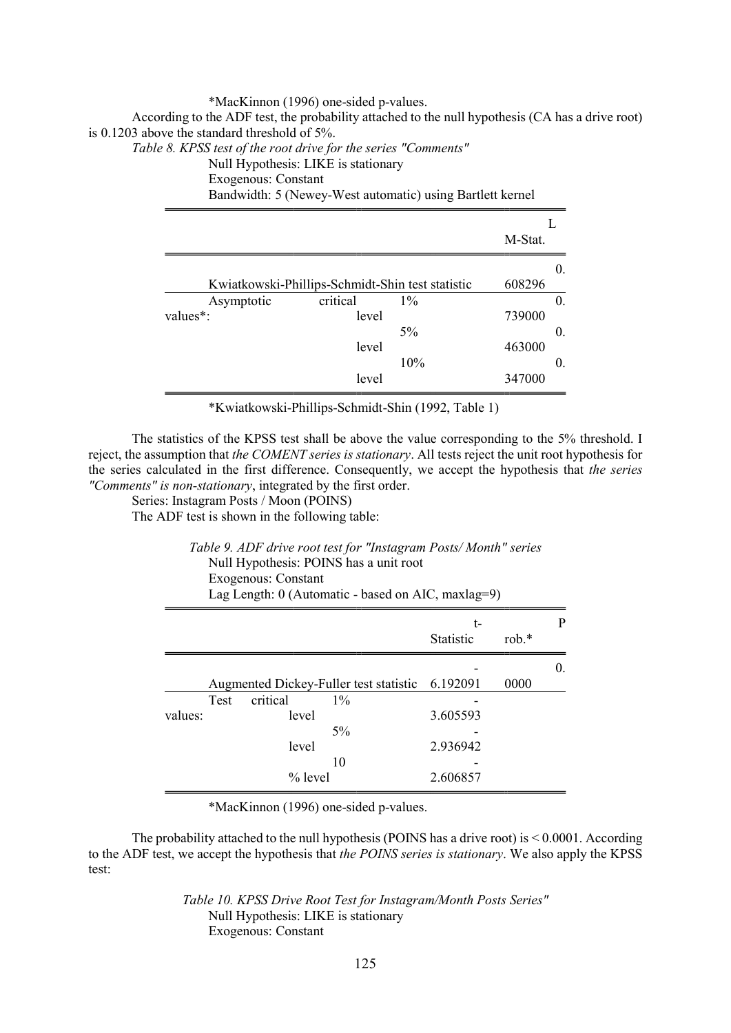According to the ADF test, the probability attached to the null hypothesis (CA has a drive root) is 0.1203 above the standard threshold of 5%.

Table 8. KPSS test of the root drive for the series "Comments"

Null Hypothesis: LIKE is stationary

Exogenous: Constant

Bandwidth: 5 (Newey-West automatic) using Bartlett kernel

|            |          |                                                  | M-Stat. |    |
|------------|----------|--------------------------------------------------|---------|----|
|            |          |                                                  |         | 0. |
|            |          | Kwiatkowski-Phillips-Schmidt-Shin test statistic | 608296  |    |
| Asymptotic | critical | $1\%$                                            |         | 0. |
| values*:   | level    |                                                  | 739000  |    |
|            |          | $5\%$                                            |         | 0. |
|            | level    |                                                  | 463000  |    |
|            |          | 10%                                              |         | 0. |
|            | level    |                                                  | 347000  |    |

\*Kwiatkowski-Phillips-Schmidt-Shin (1992, Table 1)

The statistics of the KPSS test shall be above the value corresponding to the 5% threshold. I reject, the assumption that the COMENT series is stationary. All tests reject the unit root hypothesis for the series calculated in the first difference. Consequently, we accept the hypothesis that the series "Comments" is non-stationary, integrated by the first order.

Series: Instagram Posts / Moon (POINS)

J.

The ADF test is shown in the following table:

|         |      | Exogenous: Constant | Null Hypothesis: POINS has a unit root<br>Lag Length: 0 (Automatic - based on AIC, maxlag=9) |                        |         |    |
|---------|------|---------------------|----------------------------------------------------------------------------------------------|------------------------|---------|----|
|         |      |                     |                                                                                              | t-<br><b>Statistic</b> | $rob.*$ |    |
|         |      |                     |                                                                                              |                        |         | O. |
|         |      |                     | Augmented Dickey-Fuller test statistic 6.192091                                              |                        | 0000    |    |
|         | Test | critical            | $1\%$                                                                                        |                        |         |    |
| values: |      | level               |                                                                                              | 3.605593               |         |    |
|         |      |                     | $5\%$                                                                                        |                        |         |    |

2.936942

2.606857

-

Table 9. ADF drive root test for "Instagram Posts/ Month" series

\*MacKinnon (1996) one-sided p-values.

10

level

% level

The probability attached to the null hypothesis (POINS has a drive root) is < 0.0001. According to the ADF test, we accept the hypothesis that the POINS series is stationary. We also apply the KPSS test:

> Table 10. KPSS Drive Root Test for Instagram/Month Posts Series" Null Hypothesis: LIKE is stationary Exogenous: Constant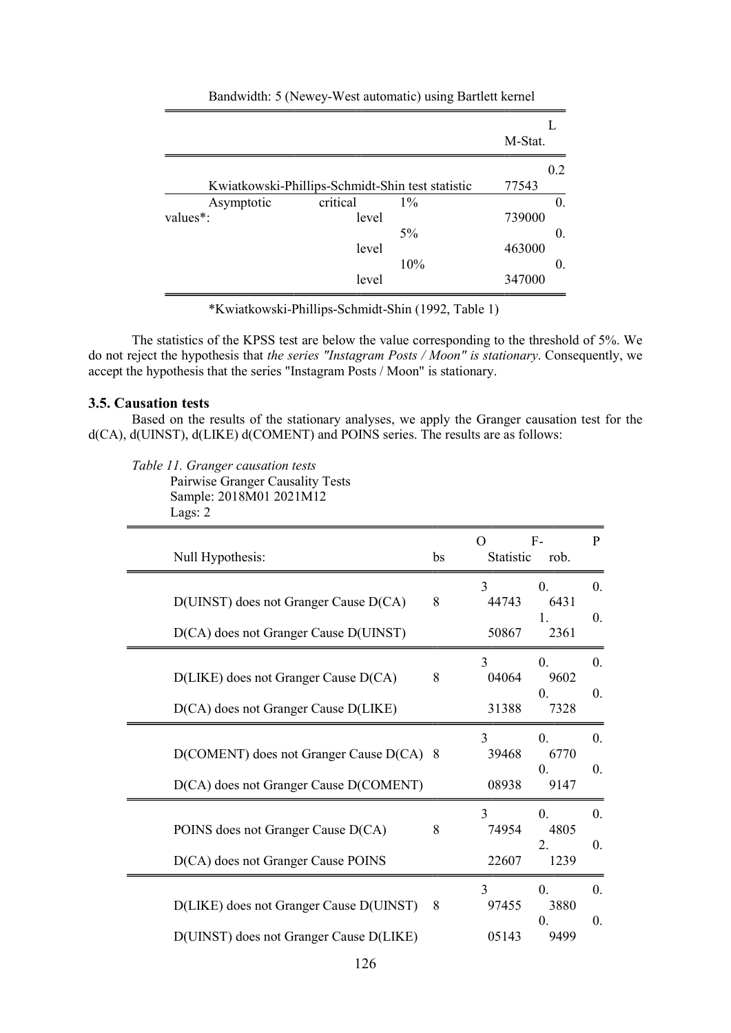|            |                                                  |       | M-Stat. |
|------------|--------------------------------------------------|-------|---------|
|            |                                                  |       | 0.2     |
|            | Kwiatkowski-Phillips-Schmidt-Shin test statistic |       | 77543   |
| Asymptotic | critical                                         | $1\%$ | 0.      |
| values*:   | level                                            |       | 739000  |
|            |                                                  | $5\%$ | 0.      |
|            | level                                            |       | 463000  |
|            |                                                  | 10%   | 0.      |
|            | level                                            |       | 347000  |

#### Bandwidth: 5 (Newey-West automatic) using Bartlett kernel

\*Kwiatkowski-Phillips-Schmidt-Shin (1992, Table 1)

The statistics of the KPSS test are below the value corresponding to the threshold of 5%. We do not reject the hypothesis that the series "Instagram Posts / Moon" is stationary. Consequently, we accept the hypothesis that the series "Instagram Posts / Moon" is stationary.

#### 3.5. Causation tests

Based on the results of the stationary analyses, we apply the Granger causation test for the d(CA), d(UINST), d(LIKE) d(COMENT) and POINS series. The results are as follows:

Table 11. Granger causation tests

Pairwise Granger Causality Tests Sample: 2018M01 2021M12

Lags: 2

| bs                                       | $\Omega$                        | rob.                                           | $\mathbf{P}$                 |
|------------------------------------------|---------------------------------|------------------------------------------------|------------------------------|
| 8                                        | 3<br>44743<br>50867             | $\Omega$ .<br>6431<br>1.<br>2361               | $\mathbf{0}$ .<br>$\theta$ . |
| $8\,$                                    | 3<br>04064<br>31388             | 0.<br>9602<br>$\Omega$ .<br>7328               | $\theta$ .<br>0.             |
| D(COMENT) does not Granger Cause D(CA) 8 | 3<br>39468<br>08938             | $\overline{0}$ .<br>6770<br>$\Omega$ .<br>9147 | $\mathbf{0}$ .<br>$\theta$ . |
| 8                                        | 3<br>74954<br>22607             | 0.<br>4805<br>2.<br>1239                       | $\mathbf{0}$ .<br>$\theta$ . |
| 8                                        | $\mathcal{E}$<br>97455<br>05143 | 0.<br>3880<br>$\Omega$ .<br>9499               | $\theta$ .<br>0.             |
|                                          |                                 |                                                | $F-$<br>Statistic            |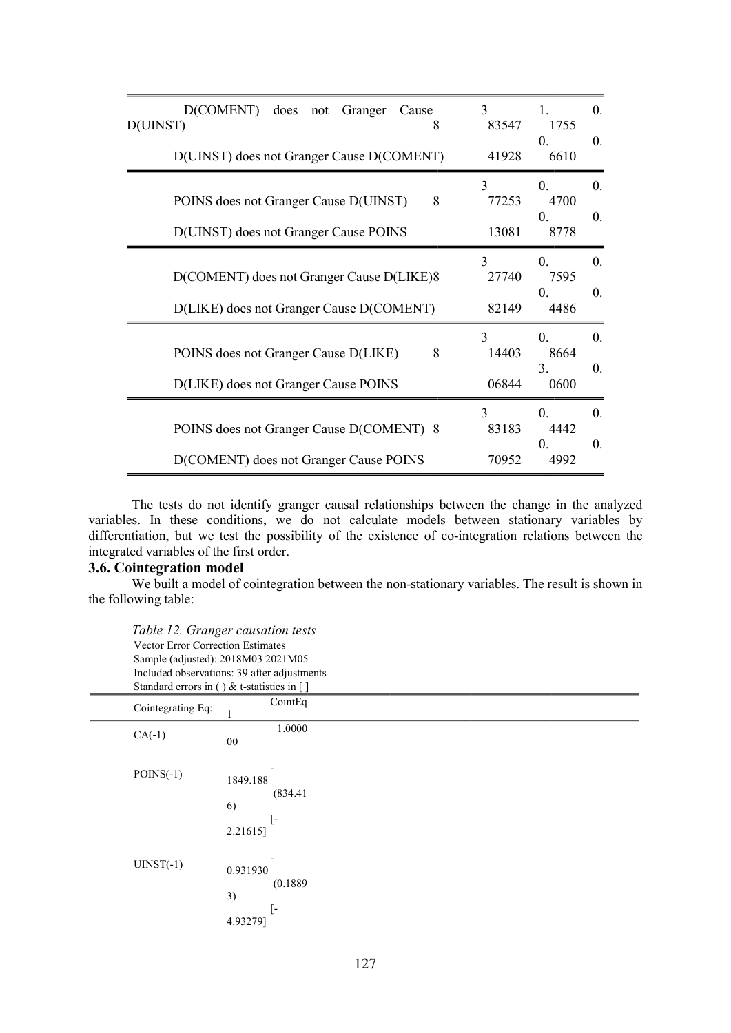| D(COMENT) does not Granger Cause<br>D(UINST)<br>8                                     | 3<br>83547                     | 1.<br>1755<br>$\Omega$ .                 | $\theta$ .<br>0.               |
|---------------------------------------------------------------------------------------|--------------------------------|------------------------------------------|--------------------------------|
| D(UINST) does not Granger Cause D(COMENT)                                             | 41928                          | 6610                                     |                                |
| 8<br>POINS does not Granger Cause D(UINST)<br>D(UINST) does not Granger Cause POINS   | $\mathbf{R}$<br>77253<br>13081 | $\Omega$ .<br>4700<br>$\Omega$ .<br>8778 | $\overline{0}$ .<br>$\theta$ . |
| D(COMENT) does not Granger Cause D(LIKE)8<br>D(LIKE) does not Granger Cause D(COMENT) | $\mathbf{3}$<br>27740<br>82149 | $\Omega$ .<br>7595<br>$\Omega$ .<br>4486 | $\theta$ .<br>$\theta$ .       |
| POINS does not Granger Cause D(LIKE)<br>8<br>D(LIKE) does not Granger Cause POINS     | $\mathbf{3}$<br>14403<br>06844 | 0.<br>8664<br>3.<br>0600                 | $\theta$ .<br>0.               |
| POINS does not Granger Cause D(COMENT) 8<br>D(COMENT) does not Granger Cause POINS    | $\mathbf{3}$<br>83183<br>70952 | $\Omega$<br>4442<br>$\Omega$ .<br>4992   | $\theta$ .<br>$\theta$ .       |

The tests do not identify granger causal relationships between the change in the analyzed variables. In these conditions, we do not calculate models between stationary variables by differentiation, but we test the possibility of the existence of co-integration relations between the integrated variables of the first order.

#### 3.6. Cointegration model

We built a model of cointegration between the non-stationary variables. The result is shown in the following table:

Table 12. Granger causation tests Vector Error Correction Estimates Sample (adjusted): 2018M03 2021M05 Included observations: 39 after adjustments Standard errors in ( ) & t-statistics in  $\lceil \cdot \rceil$ 

| Cointegrating Eq: | CointEq<br>1                                         |
|-------------------|------------------------------------------------------|
| $CA(-1)$          | 1.0000<br>${\bf 00}$                                 |
| $POINS(-1)$       | 1849.188<br>(834.41)<br>6)<br>$[ -$<br>2.21615]      |
| $UINST(-1)$       | 0.931930<br>(0.1889)<br>3)<br>$\lceil$ -<br>4.93279] |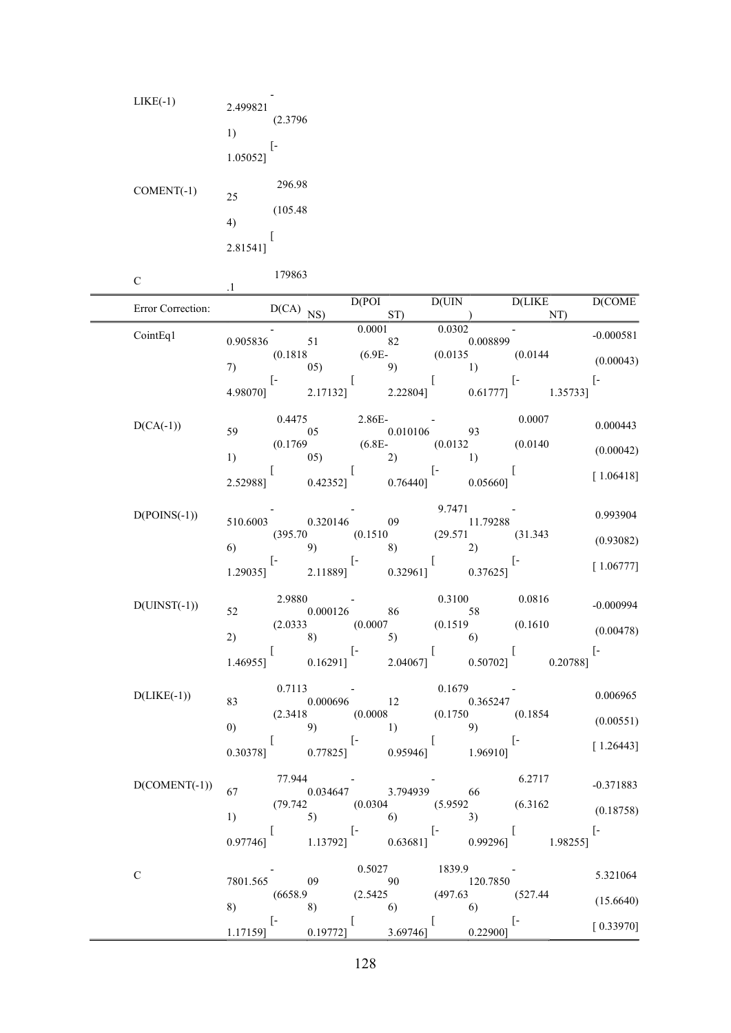| $LIKE(-1)$   | 2.499821<br>(2.3796)<br>1)<br>ſ-<br>1.05052]    |
|--------------|-------------------------------------------------|
| $COMENT(-1)$ | 296.98<br>25<br>(105.48)<br>4)<br>ſ<br>2.81541] |
| С            | 179863<br>1.                                    |

.1

Error Correction: D(CA) NO D(POI  $D(CA)$  NS) D(UIN  $ST)$ D(LIKE ) D(COME NT) CointEq1 0.905836 51 0.0001 0.0302 - 0.000581 82  $(0.1818)$ 7) (6.9E-05)  $(0.0135)$   $(0.0144)$   $(0.00043)$ 9) [- 4.98070] [ 2.17132] [ 2.22804] [- 0.61777] 1.35733] [-  $D(CA(-1))$  0.4475<br>59 0.5 59 2.86E-- 0.010106 0.0007 0.000443 (0.1769 1)  $(0.00042)$   $(0.0152)$   $(0.0152)$   $(0.0150)$   $(0.00042)$  $(6.8E-$  (0.0132 (0.0140 [ 2.52988] [ 0.42352] [- 0.76440]  $[$  [ 1.06418]  $D(POINS(-1))$   $510.6003$ - 0.320146 9.7471 09 - 11.79288 0.993904 (395.70 (0.1510 6) 9) (29.571 (31.343 8)  $(29.371)$   $(31.343)$   $(0.93082)$ [- 1.29035] [- 2.11889] [ 0.32961] [-<br>0.37625] [ 1.06777]  $D(UINST(-1))$  2.9880 52 - 0.000126 86  $\begin{array}{c} 0.3100 \\ 58 \end{array}$  0.0816 <sup>58</sup>-0.000994 (2.0333 (0.0007 2)  $\begin{pmatrix} 8 \end{pmatrix}$  (0.1519  $(0.1515)$   $(0.1010)$   $(0.00478)$  (0.1610 [ 1.46955] [- 0.16291] [ 2.04067] [ 0.50702] 0.20788] [-  $D(LIKE(-1))$  0.7113 83 - 0.000696 12 0.1679 - 0.365247 0.006965 (2.3418 (0.0008 0) 9) (0.1750 (0.1854 1)  $(0.1634)$   $(0.00551)$ [ 0.30378] [- 0.77825] [ 0.95946] [<sup>-</sup> [1.26443]  $D(COMENT(-1))$  77.944 67 - 0.034647 - 3.794939 6.2717 <sup>66</sup>-0.371883

| $D$ (CONIENT(-1)) | 67       | 0.034647                 |                          | 3.794939 | 66                       |                          | $-0.511003$ |
|-------------------|----------|--------------------------|--------------------------|----------|--------------------------|--------------------------|-------------|
|                   |          | (79.742)                 | (0.0304)                 |          | (5.9592)                 | (6.3162)                 | (0.18758)   |
|                   | 1)       | 5)                       | 6)                       |          | 3)                       |                          |             |
|                   |          |                          | $\overline{\phantom{a}}$ |          | $\overline{\phantom{a}}$ |                          | ı –         |
|                   | 0.97746] | 1.13792]                 |                          | 0.636811 | 0.992961                 | 1.982551                 |             |
|                   |          |                          |                          |          |                          |                          |             |
| C                 |          |                          | 0.5027                   |          | 1839.9                   |                          |             |
|                   | 7801.565 | 09                       | 90                       |          | 120.7850                 |                          | 5.321064    |
|                   |          | (6658.9)                 | (2.5425)                 |          | (497.63)                 | (527.44)                 |             |
|                   | 8)       | 8)                       | 6)                       |          | 6)                       |                          | (15.6640)   |
|                   |          | $\overline{\phantom{a}}$ |                          |          |                          | $\overline{\phantom{a}}$ |             |
|                   | 1.171591 | 0.197721                 |                          | 3.69746] | 0.229001                 |                          | [0.33970]   |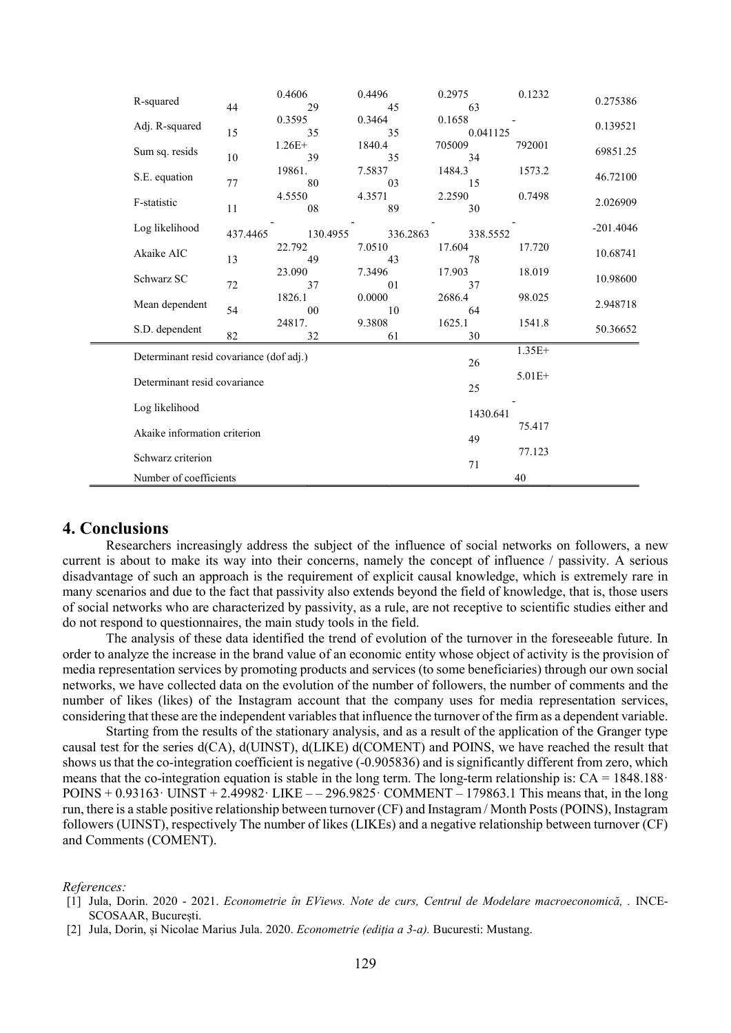| R-squared                               | 44       | 0.4606<br>29   | 0.4496<br>45 | 0.2975<br>63       | 0.1232   | 0.275386    |
|-----------------------------------------|----------|----------------|--------------|--------------------|----------|-------------|
| Adj. R-squared                          | 15       | 0.3595<br>35   | 0.3464<br>35 | 0.1658<br>0.041125 |          | 0.139521    |
| Sum sq. resids                          | $10\,$   | $1.26E+$<br>39 | 1840.4<br>35 | 705009<br>34       | 792001   | 69851.25    |
| S.E. equation                           | 77       | 19861.<br>80   | 7.5837<br>03 | 1484.3<br>15       | 1573.2   | 46.72100    |
| F-statistic                             | 11       | 4.5550<br>08   | 4.3571<br>89 | 2.2590<br>30       | 0.7498   | 2.026909    |
| Log likelihood                          | 437.4465 | 130.4955       | 336.2863     | 338.5552           |          | $-201.4046$ |
| Akaike AIC                              | 13       | 22.792<br>49   | 7.0510<br>43 | 17.604<br>78       | 17.720   | 10.68741    |
| Schwarz SC                              | 72       | 23.090<br>37   | 7.3496<br>01 | 17.903<br>37       | 18.019   | 10.98600    |
| Mean dependent                          | 54       | 1826.1<br>00   | 0.0000<br>10 | 2686.4<br>64       | 98.025   | 2.948718    |
| S.D. dependent                          | 82       | 24817.<br>32   | 9.3808<br>61 | 1625.1<br>30       | 1541.8   | 50.36652    |
| Determinant resid covariance (dof adj.) |          |                |              | 26                 | $1.35E+$ |             |
| Determinant resid covariance            |          |                |              | 25                 | $5.01E+$ |             |
| Log likelihood                          |          |                |              | 1430.641           |          |             |
| Akaike information criterion            |          |                | 49           | 75.417             |          |             |
| Schwarz criterion                       |          |                |              | 71                 | 77.123   |             |
| Number of coefficients                  |          |                |              |                    | 40       |             |

## 4. Conclusions

Researchers increasingly address the subject of the influence of social networks on followers, a new current is about to make its way into their concerns, namely the concept of influence / passivity. A serious disadvantage of such an approach is the requirement of explicit causal knowledge, which is extremely rare in many scenarios and due to the fact that passivity also extends beyond the field of knowledge, that is, those users of social networks who are characterized by passivity, as a rule, are not receptive to scientific studies either and do not respond to questionnaires, the main study tools in the field.

The analysis of these data identified the trend of evolution of the turnover in the foreseeable future. In order to analyze the increase in the brand value of an economic entity whose object of activity is the provision of media representation services by promoting products and services (to some beneficiaries) through our own social networks, we have collected data on the evolution of the number of followers, the number of comments and the number of likes (likes) of the Instagram account that the company uses for media representation services, considering that these are the independent variables that influence the turnover of the firm as a dependent variable.

Starting from the results of the stationary analysis, and as a result of the application of the Granger type causal test for the series d(CA), d(UINST), d(LIKE) d(COMENT) and POINS, we have reached the result that shows us that the co-integration coefficient is negative (-0.905836) and is significantly different from zero, which means that the co-integration equation is stable in the long term. The long-term relationship is:  $CA = 1848.188$ POINS  $+ 0.93163 \cdot$  UINST  $+ 2.49982 \cdot$  LIKE  $- 296.9825 \cdot$  COMMENT  $- 179863.1$  This means that, in the long run, there is a stable positive relationship between turnover (CF) and Instagram / Month Posts (POINS), Instagram followers (UINST), respectively The number of likes (LIKEs) and a negative relationship between turnover (CF) and Comments (COMENT).

#### References:

<sup>[1]</sup> Jula, Dorin. 2020 - 2021. Econometrie în EViews. Note de curs, Centrul de Modelare macroeconomică, . INCE-SCOSAAR, București.

<sup>[2]</sup> Jula, Dorin, și Nicolae Marius Jula. 2020. Econometrie (ediția a 3-a). Bucuresti: Mustang.